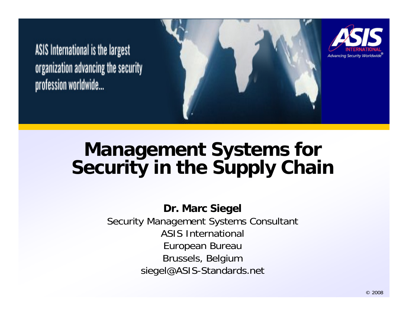ASIS International is the largest organization advancing the security profession worldwide...



### **Management Systems for Security in the Supply Chain**

**Dr. Marc Siegel** Security Management Systems Consultant ASIS International European Bureau Brussels, Belgium siegel@ASIS-Standards.net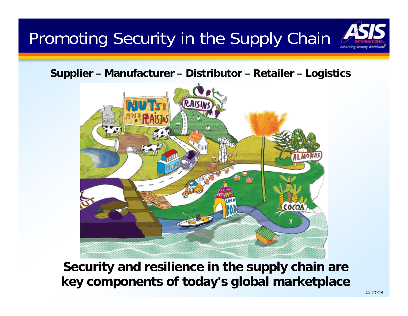## Promoting Security in the Supply Chain

**Supplier – Manufacturer – Distributor – Retailer – Logistics**



**Security and resilience in the supply chain are key components of today's global marketplace**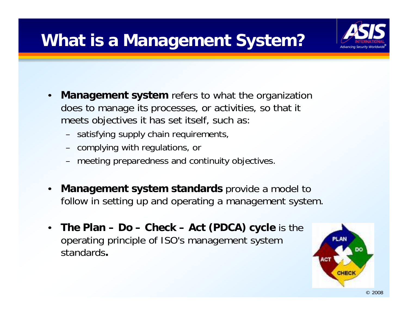### **What is a Management System?**



- $\bullet$  **Management system** refers to what the organization does to manage its processes, or activities, so that it meets objectives it has set itself, such as:
	- satisfying supply chain requirements,
	- complying with regulations, or
	- meeting preparedness and continuity objectives.
- $\bullet$  **Management system standards** provide a model to follow in setting up and operating a management system.
- $\bullet$  **The Plan – Do – Check – Act (PDCA) cycle** is the operating principle of ISO's management system standards**.**

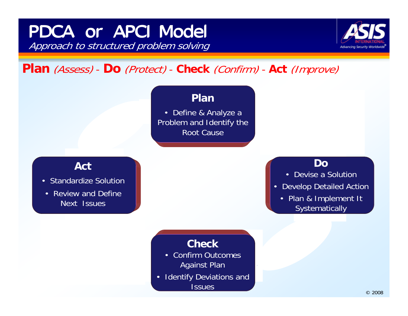### Approach to structured problem solving PDCA or APCI Model



#### **Plan** (Assess) - **Do** (Protect) - **Check** (Confirm) - **Act** (Improve)

#### **Plan**

• Define & Analyze a Problem and Identify the Root Cause

#### **Act**

- Standardize Solution
- Review and Define Next Issues

#### **Do**

- Devise a Solution
- • Develop Detailed Action
	- Plan & Implement It **Systematically**

### **Check**

- • Confirm Outcomes Against Plan
- • Identify Deviations and **Issues**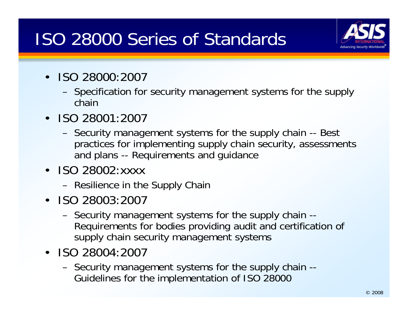### ISO 28000 Series of Standards



- ISO 28000:2007
	- Specification for security management systems for the supply chain
- ISO 28001:2007
	- Security management systems for the supply chain -- Best practices for implementing supply chain security, assessments and plans -- Requirements and guidance
- ISO 28002:xxxx
	- Resilience in the Supply Chain
- ISO 28003:2007
	- Security management systems for the supply chain -- Requirements for bodies providing audit and certification of supply chain security management systems
- ISO 28004:2007
	- Security management systems for the supply chain -- Guidelines for the implementation of ISO 28000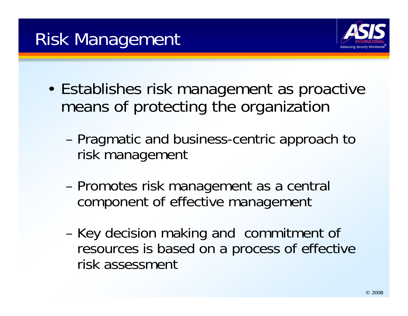

- • Establishes risk management as proactive means of protecting the organization
	- and the state of the Pragmatic and business-centric approach to risk management
	- **Links and Committee**  Promotes risk management as a central component of effective management
	- **Links and Committee**  Key decision making and commitment of resources is based on a process of effective risk assessment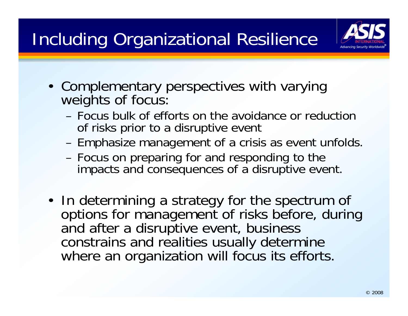## Including Organizational Resilience



- Complementary perspectives with varying weights of focus:
	- Focus bulk of efforts on the avoidance or reduction of risks prior to a disruptive event
	- Emphasize management of a crisis as event unfolds.
	- Focus on preparing for and responding to the impacts and consequences of a disruptive event.
- In determining a strategy for the spectrum of options for management of risks before, during and after a disruptive event, business constrains and realities usually determine where an organization will focus its efforts.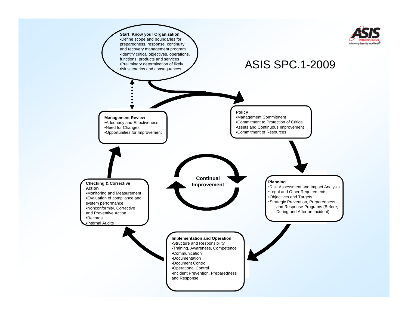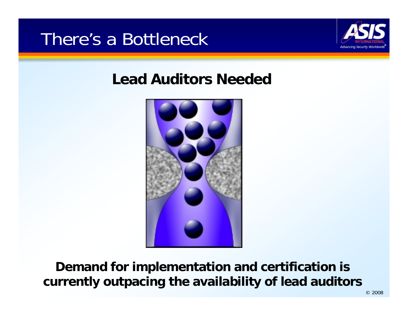

### **Lead Auditors Needed**



**Demand for implementation and certification is currently outpacing the availability of lead auditors**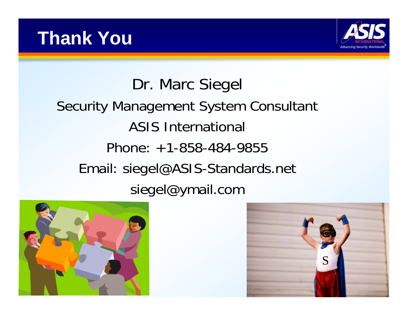

### Dr. Marc Siegel Security Management System Consultant ASIS International Phone: +1-858-484-9855Email: siegel@ASIS-Standards.net siegel@ymail.com



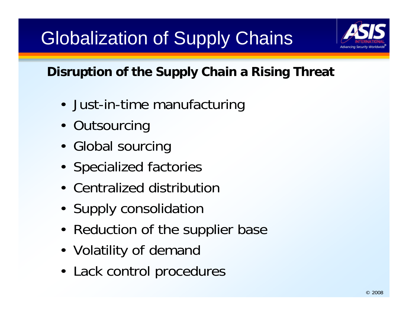# Globalization of Supply Chains



### **Disruption of the Supply Chain a Rising Threat**

- Just-in-time manufacturing
- Outsourcing
- Global sourcing
- Specialized factories
- Centralized distribution
- Supply consolidation
- Reduction of the supplier base
- Volatility of demand
- Lack control procedures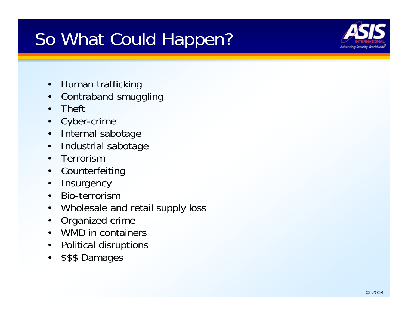## So What Could Happen?



- $\bullet$ Human trafficking
- $\bullet$ Contraband smuggling
- •Theft
- •Cyber-crime
- $\bullet$ Internal sabotage
- $\bullet$ Industrial sabotage
- •Terrorism
- $\bullet$ Counterfeiting
- $\bullet$ **Insurgency**
- $\bullet$ Bio-terrorism
- $\bullet$ Wholesale and retail supply loss
- $\bullet$ Organized crime
- •WMD in containers
- $\bullet$ Political disruptions
- •\$\$\$ Damages